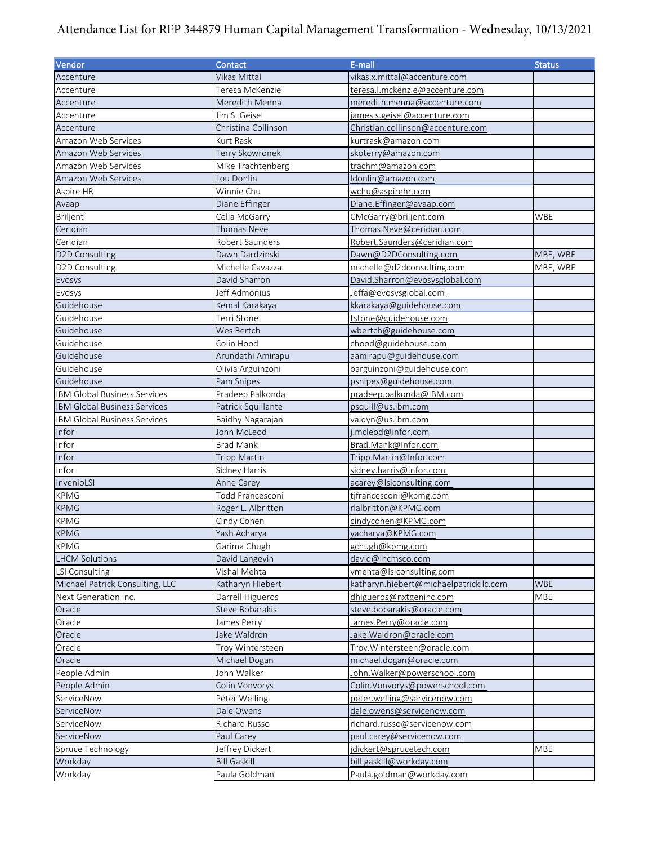## Attendance List for RFP 344879 Human Capital Management Transformation - Wednesday, 10/13/2021

| Vendor                               | Contact             | E-mail                                 | <b>Status</b> |
|--------------------------------------|---------------------|----------------------------------------|---------------|
| Accenture                            | Vikas Mittal        | vikas.x.mittal@accenture.com           |               |
| Accenture                            | Teresa McKenzie     | teresa.l.mckenzie@accenture.com        |               |
| Accenture                            | Meredith Menna      | meredith.menna@accenture.com           |               |
| Accenture                            | Jim S. Geisel       | james.s.geisel@accenture.com           |               |
| Accenture                            | Christina Collinson | Christian.collinson@accenture.com      |               |
| Amazon Web Services                  | Kurt Rask           | kurtrask@amazon.com                    |               |
| Amazon Web Services                  | Terry Skowronek     | skoterry@amazon.com                    |               |
| Amazon Web Services                  | Mike Trachtenberg   | trachm@amazon.com                      |               |
| Amazon Web Services                  | Lou Donlin          | Idonlin@amazon.com                     |               |
| Aspire HR                            | Winnie Chu          | <u>wchu@aspirehr.com</u>               |               |
| Avaap                                | Diane Effinger      | Diane. Effinger@avaap.com              |               |
| Briljent                             | Celia McGarry       | CMcGarry@briljent.com                  | WBE           |
| Ceridian                             | Thomas Neve         | Thomas.Neve@ceridian.com               |               |
| Ceridian                             | Robert Saunders     | Robert.Saunders@ceridian.com           |               |
| D2D Consulting                       | Dawn Dardzinski     | Dawn@D2DConsulting.com                 | MBE, WBE      |
| D2D Consulting                       | Michelle Cavazza    | michelle@d2dconsulting.com             | MBE, WBE      |
| Evosys                               | David Sharron       | David.Sharron@evosysglobal.com         |               |
| Evosys                               | Jeff Admonius       | Jeffa@evosysglobal.com                 |               |
| Guidehouse                           | Kemal Karakaya      | kkarakaya@guidehouse.com               |               |
| Guidehouse                           | Terri Stone         | tstone@guidehouse.com                  |               |
| Guidehouse                           | Wes Bertch          | wbertch@guidehouse.com                 |               |
| Guidehouse                           | Colin Hood          | chood@guidehouse.com                   |               |
| Guidehouse                           | Arundathi Amirapu   | aamirapu@guidehouse.com                |               |
| Guidehouse                           | Olivia Arguinzoni   | oarguinzoni@guidehouse.com             |               |
| Guidehouse                           | Pam Snipes          | psnipes@guidehouse.com                 |               |
| IBM Global Business Services         | Pradeep Palkonda    | pradeep.palkonda@IBM.com               |               |
| <b>IBM Global Business Services</b>  | Patrick Squillante  | psquill@us.ibm.com                     |               |
| IBM Global Business Services         | Baidhy Nagarajan    | vaidyn@us.ibm.com                      |               |
| Infor                                | John McLeod         | j.mcleod@infor.com                     |               |
| Infor                                | <b>Brad Mank</b>    | Brad.Mank@Infor.com                    |               |
| Infor                                | <b>Tripp Martin</b> | Tripp.Martin@Infor.com                 |               |
| Infor                                | Sidney Harris       | sidney.harris@infor.com                |               |
| InvenioLSI                           | Anne Carey          | acarey@Isiconsulting.com               |               |
| <b>KPMG</b>                          | Todd Francesconi    | tjfrancesconi@kpmg.com                 |               |
| <b>KPMG</b>                          | Roger L. Albritton  | rlalbritton@KPMG.com                   |               |
| <b>KPMG</b>                          | Cindy Cohen         | cindycohen@KPMG.com                    |               |
| <b>KPMG</b>                          | Yash Acharya        |                                        |               |
|                                      |                     | yacharya@KPMG.com                      |               |
| <b>KPMG</b><br><b>LHCM Solutions</b> | Garima Chugh        | gchugh@kpmg.com<br>david@lhcmsco.com   |               |
|                                      | David Langevin      |                                        |               |
| <b>LSI Consulting</b>                | Vishal Mehta        | vmehta@lsiconsulting.com               |               |
| Michael Patrick Consulting, LLC      | Katharyn Hiebert    | katharyn.hiebert@michaelpatrickllc.com | WBE           |
| Next Generation Inc.                 | Darrell Higueros    | dhigueros@nxtgeninc.com                | <b>MBE</b>    |
| Oracle                               | Steve Bobarakis     | steve.bobarakis@oracle.com             |               |
| Oracle                               | James Perry         | James.Perry@oracle.com                 |               |
| Oracle                               | Jake Waldron        | Jake.Waldron@oracle.com                |               |
| Oracle                               | Troy Wintersteen    | Troy.Wintersteen@oracle.com            |               |
| Oracle                               | Michael Dogan       | michael.dogan@oracle.com               |               |
| People Admin                         | John Walker         | John. Walker@powerschool.com           |               |
| People Admin                         | Colin Vonvorys      | Colin. Vonvorys@powerschool.com        |               |
| ServiceNow                           | Peter Welling       | peter.welling@servicenow.com           |               |
| ServiceNow                           | Dale Owens          | dale.owens@servicenow.com              |               |
| ServiceNow                           | Richard Russo       | richard.russo@servicenow.com           |               |
| ServiceNow                           | Paul Carey          | paul.carey@servicenow.com              |               |
| Spruce Technology                    | Jeffrey Dickert     | jdickert@sprucetech.com                | MBE           |
| Workday                              | <b>Bill Gaskill</b> | bill.gaskill@workday.com               |               |
| Workday                              | Paula Goldman       | Paula.goldman@workday.com              |               |